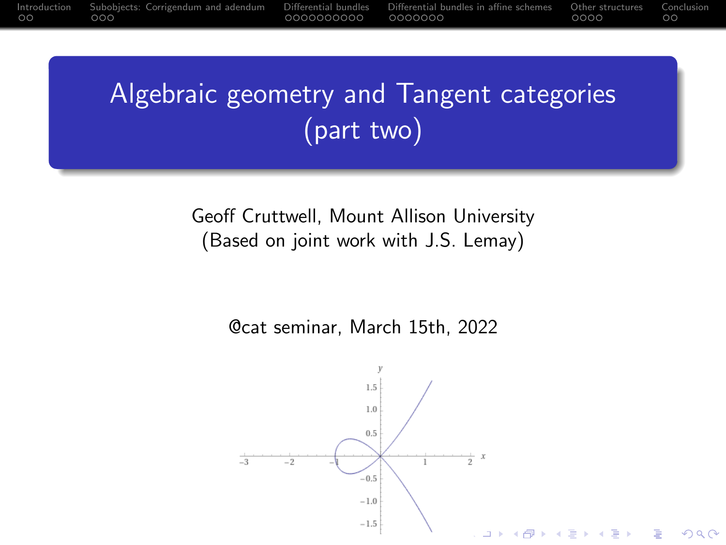<span id="page-0-0"></span>[Introduction](#page-1-0) [Subobjects: Corrigendum and adendum](#page-3-0) [Differential bundles](#page-6-0) [Differential bundles in affine schemes](#page-16-0) [Other structures](#page-23-0) [Conclusion](#page-27-0)<br>000 000 000 000 000

# Algebraic geometry and Tangent categories (part two)

Geoff Cruttwell, Mount Allison University (Based on joint work with J.S. Lemay)

@cat seminar, March 15th, 2022

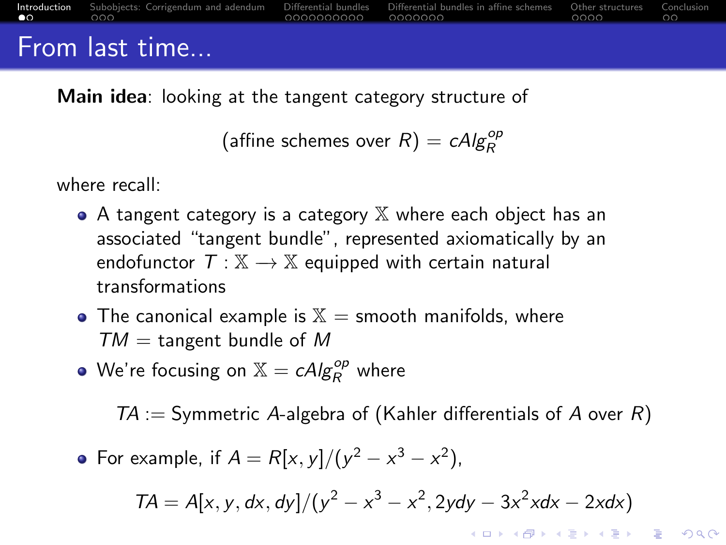<span id="page-1-0"></span>

| $\bullet$ 0 000 $\bullet$ | <b>Introduction</b> Subobiects: Corrigendum and adendum Differential bundles Differential bundles in affine schemes Other structures Conclusion<br>the contract of the contract of the contract of | $\overline{0}$ 0000000000 0000000 $\overline{1}$ | noon oo |  |
|---------------------------|----------------------------------------------------------------------------------------------------------------------------------------------------------------------------------------------------|--------------------------------------------------|---------|--|
|                           | <b>Erom</b> last time                                                                                                                                                                              |                                                  |         |  |

## From last time...

**Main idea:** looking at the tangent category structure of

(affine schemes over  $R$ ) =  $cAlg_R^{op}$ 

where recall:

- $\bullet$  A tangent category is a category  $\mathbb X$  where each object has an associated "tangent bundle", represented axiomatically by an endofunctor  $T : \mathbb{X} \to \mathbb{X}$  equipped with certain natural transformations
- The canonical example is  $X =$  smooth manifolds, where  $TM =$  tangent bundle of M
- We're focusing on  $\mathbb{X} = c \mathcal{A} \mathcal{I}^{op}_{R}$  where

 $TA :=$  Symmetric A-algebra of (Kahler differentials of A over R)

For example, if  $A = R[x, y]/(y^2 - x^3 - x^2)$ ,

$$
TA = A[x, y, dx, dy]/(y^2 - x^3 - x^2, 2ydy - 3x^2xdx - 2xdx)
$$

**KORKAR KERKER SAGA**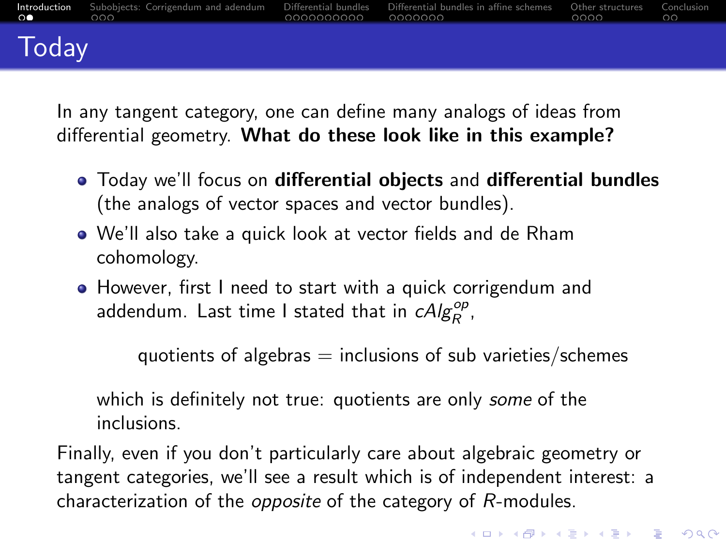<span id="page-2-0"></span>

| $\Omega$ and $\Omega$ | Introduction Subobiects: Corrigendum and adendum Differential bundles Differential bundles in affine schemes Other structures Conclusion<br>റററ<br><u> La componente de la componente de la componente de la componente de la componente de la componente de la compo</u> |  | nnnn nn |  |
|-----------------------|---------------------------------------------------------------------------------------------------------------------------------------------------------------------------------------------------------------------------------------------------------------------------|--|---------|--|
| Today                 |                                                                                                                                                                                                                                                                           |  |         |  |

In any tangent category, one can define many analogs of ideas from differential geometry. What do these look like in this example?

- Today we'll focus on differential objects and differential bundles (the analogs of vector spaces and vector bundles).
- We'll also take a quick look at vector fields and de Rham cohomology.
- However, first I need to start with a quick corrigendum and addendum. Last time I stated that in  $cAlg_R^{op}$ ,

quotients of algebras  $=$  inclusions of sub varieties/schemes

which is definitely not true: quotients are only *some* of the inclusions.

Finally, even if you don't particularly care about algebraic geometry or tangent categories, we'll see a result which is of independent interest: a characterization of the opposite of the category of R-modules.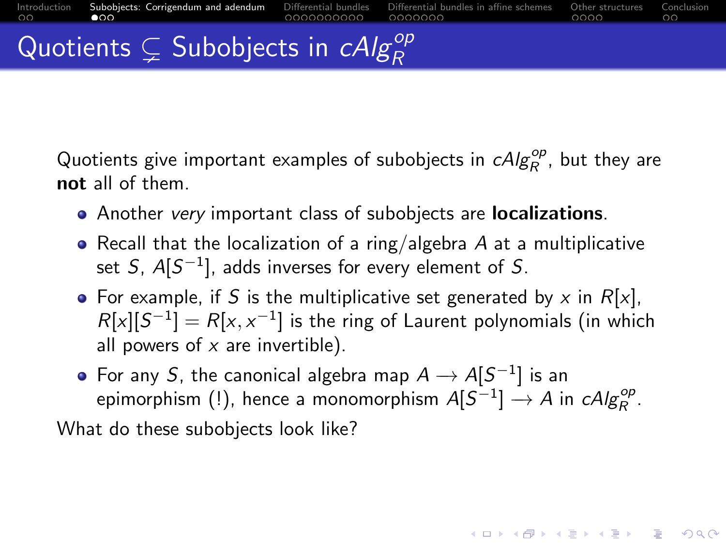<span id="page-3-0"></span>Quotients give important examples of subobjects in  $\mathit{cAlg}^{\mathit{op}}_R$  , but they are not all of them.

- Another very important class of subobjects are **localizations**.
- Recall that the localization of a ring/algebra  $A$  at a multiplicative set  $S$ ,  $A[S^{-1}]$ , adds inverses for every element of  $S$ .
- For example, if S is the multiplicative set generated by x in  $R[x]$ ,  $R[x][S^{-1}] = R[x, x^{-1}]$  is the ring of Laurent polynomials (in which all powers of  $x$  are invertible).
- For any S, the canonical algebra map  $A \to A[S^{-1}]$  is an epimorphism (!), hence a monomorphism  $A[S^{-1}] \to A$  in  $\mathcal{C}Alg^{\mathcal{O}p}_R$ .

**KORKAR KERKER ST VOOR** 

What do these subobjects look like?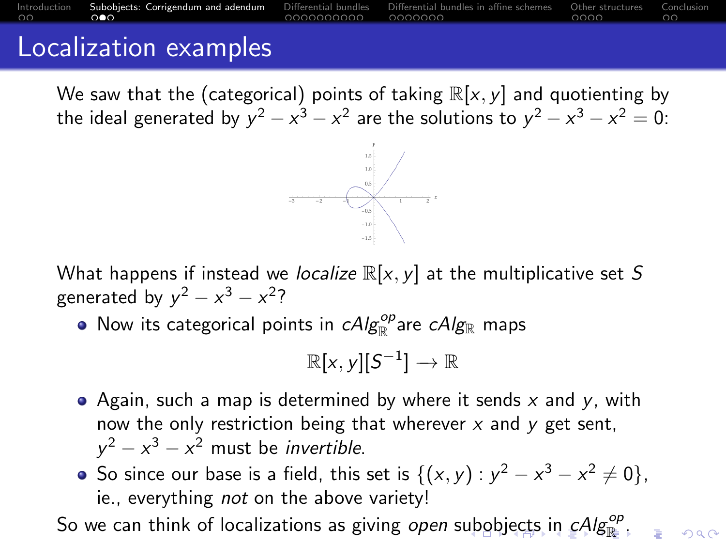## <span id="page-4-0"></span>[Introduction](#page-1-0) [Subobjects: Corrigendum and adendum](#page-3-0) Differential [Differential bundles](#page-6-0) in affine schemes [Other structures](#page-23-0) [Conclusion](#page-27-0)<br>On the Suborg structures Conclusion Schemen structures Conclusion in the structure structures Localization examples

We saw that the (categorical) points of taking  $\mathbb{R}[x, y]$  and quotienting by the ideal generated by  $y^2-x^3-x^2$  are the solutions to  $y^2-x^3-x^2=0$ :



What happens if instead we localize  $\mathbb{R}[x, y]$  at the multiplicative set S generated by  $y^2 - x^3 - x^2$ ?

Now its categorical points in  $\mathit{cAlg}_{\mathbb{R}}^{\mathit{op}}$ are  $\mathit{cAlg}_{\mathbb{R}}$  maps

$$
\mathbb{R}[x,y][S^{-1}] \to \mathbb{R}
$$

- Again, such a map is determined by where it sends  $x$  and  $y$ , with now the only restriction being that wherever  $x$  and  $y$  get sent,  $y^2 - x^3 - x^2$  must be *invertible*.
- So since our base is a field, this set is  $\{(x, y) : y^2 x^3 x^2 \neq 0\}$ , ie., everything *not* on the above variety!

So w[e](#page-3-0) ca[n](#page-2-0) think of lo[c](#page-5-0)alizations as giving *open* s[ub](#page-3-0)[obj](#page-5-0)e[cts](#page-4-0) [i](#page-5-0)n  $cAlg^{\mathsf{op}}_{\mathbb R}$  $cAlg^{\mathsf{op}}_{\mathbb R}$  $cAlg^{\mathsf{op}}_{\mathbb R}$  $cAlg^{\mathsf{op}}_{\mathbb R}$  $cAlg^{\mathsf{op}}_{\mathbb R}$  $cAlg^{\mathsf{op}}_{\mathbb R}$  [.](#page-6-0)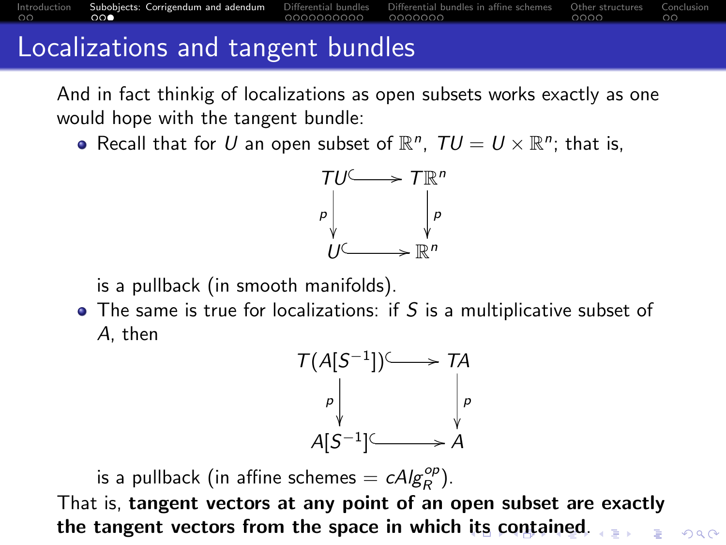And in fact thinkig of localizations as open subsets works exactly as one would hope with the tangent bundle:

<span id="page-5-0"></span>[Introduction](#page-1-0) [Subobjects: Corrigendum and adendum](#page-3-0) [Differential bundles](#page-6-0) [Differential bundles in affine schemes](#page-16-0) [Other structures](#page-23-0) [Conclusion](#page-27-0)

Recall that for U an open subset of  $\mathbb{R}^n$ ,  $TU = U \times \mathbb{R}^n$ ; that is,



is a pullback (in smooth manifolds).

Localizations and tangent bundles

 $\bullet$  The same is true for localizations: if S is a multiplicative subset of A, then



 $000$ 

is a pullback (in affine schemes  $= c A/g_R^{op}$ ).

That is, tangent vectors at any point of an open subset are exactly the tangent vectors from the space in which [it](#page-4-0)s [c](#page-6-0)[o](#page-4-0)[nt](#page-5-0)[ai](#page-6-0)[n](#page-2-0)[e](#page-3-0)[d](#page-5-0)[.](#page-6-0) $x = 1$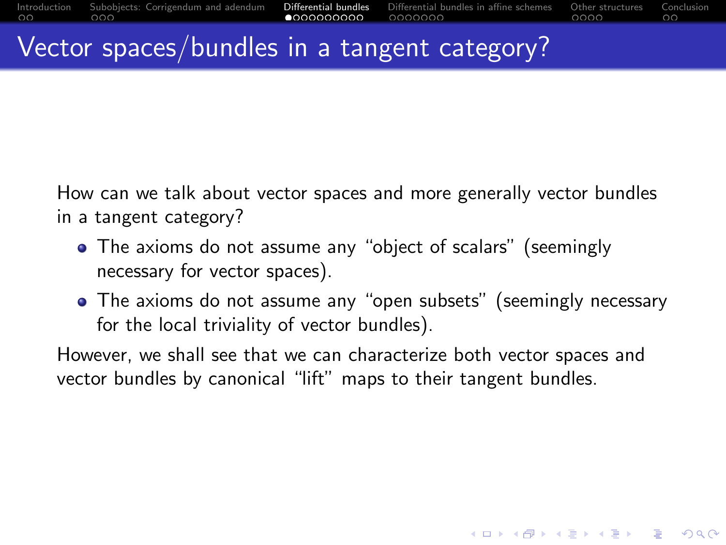### <span id="page-6-0"></span>Vector spaces/bundles in a tangent category?

How can we talk about vector spaces and more generally vector bundles in a tangent category?

- The axioms do not assume any "object of scalars" (seemingly necessary for vector spaces).
- The axioms do not assume any "open subsets" (seemingly necessary for the local triviality of vector bundles).

**KORKARYKERKER POLO** 

However, we shall see that we can characterize both vector spaces and vector bundles by canonical "lift" maps to their tangent bundles.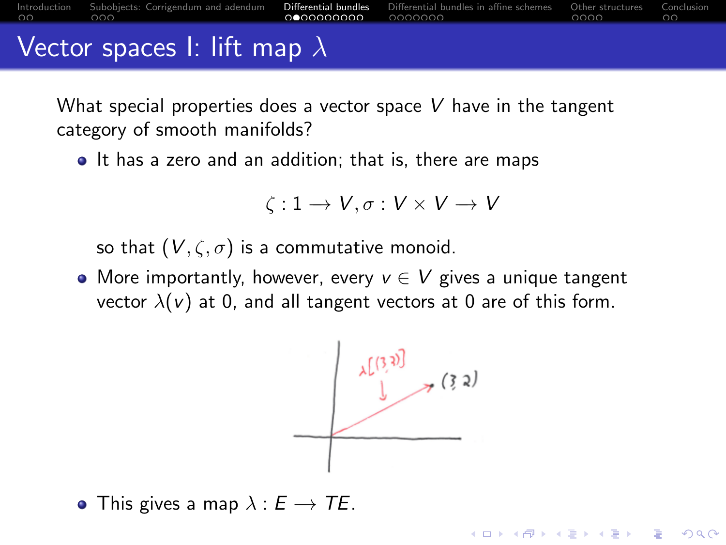<span id="page-7-0"></span>

|  | Introduction Subobiects: Corrigendum and adendum <b>Differential bundles</b> Differential bundles in affine schemes Other structures Conclusion | ∩●∩∩∩∩∩∩∩ ∩∩∩∩∩∩ | nnnn - I | ററ |
|--|-------------------------------------------------------------------------------------------------------------------------------------------------|------------------|----------|----|
|  | Vector spaces I: lift map $\lambda$                                                                                                             |                  |          |    |

What special properties does a vector space  $V$  have in the tangent category of smooth manifolds?

• It has a zero and an addition; that is, there are maps

$$
\zeta: 1 \to V, \sigma: V \times V \to V
$$

so that  $(V, \zeta, \sigma)$  is a commutative monoid.

• More importantly, however, every  $v \in V$  gives a unique tangent vector  $\lambda(v)$  at 0, and all tangent vectors at 0 are of this form.

$$
\downarrow^{\left(\left\{3,3\right\}\right)}
$$

**KORKARYKERKER POLO** 

• This gives a map  $\lambda : E \to TE$ .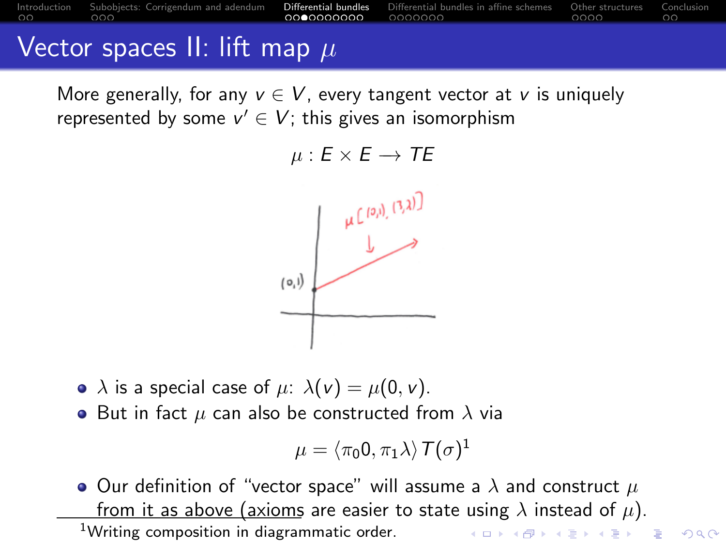<span id="page-8-0"></span>[Introduction](#page-1-0) [Subobjects: Corrigendum and adendum](#page-3-0) [Differential bundles](#page-6-0) [Differential bundles in affine schemes](#page-16-0) [Other structures](#page-23-0) [Conclusion](#page-27-0)

## Vector spaces II: lift map  $\mu$

More generally, for any  $v \in V$ , every tangent vector at v is uniquely represented by some  $v' \in V$ ; this gives an isomorphism

$$
\mu: E \times E \to TE
$$



- $\lambda$  is a special case of  $\mu$ :  $\lambda(\nu) = \mu(0, \nu)$ .
- But in fact  $\mu$  can also be constructed from  $\lambda$  via

$$
\mu = \langle \pi_0 0, \pi_1 \lambda \rangle \mathcal{T}(\sigma)^1
$$

• Our definition of "vector space" will assume a  $\lambda$  and construct  $\mu$ from it as above (axioms are easier to state using  $\lambda$  instead of  $\mu$ ). <sup>1</sup>Writing composition in diagrammatic order.**KORKARYKERKER POLO**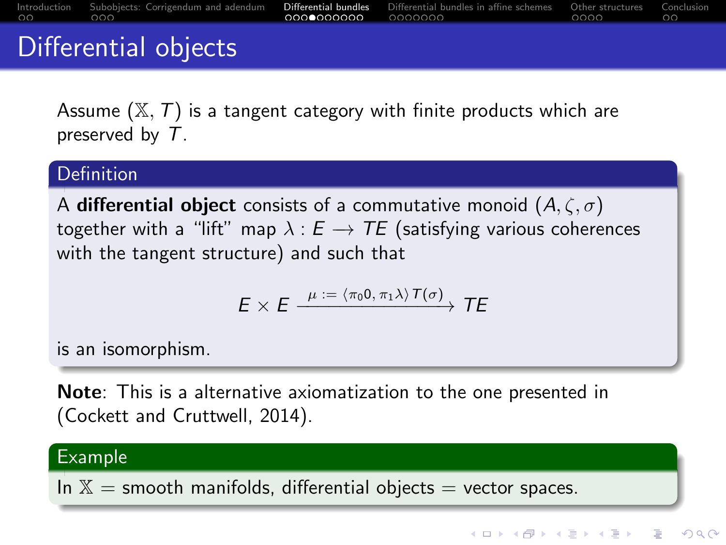<span id="page-9-0"></span>

| nn nnn | Introduction Subobiects: Corrigendum and adendum <b>Differential bundles</b> Differential bundles in affine schemes Other structures Conclusion |  | nnnn - I | - ററ |
|--------|-------------------------------------------------------------------------------------------------------------------------------------------------|--|----------|------|
|        | Differential objects                                                                                                                            |  |          |      |

Assume  $(X, T)$  is a tangent category with finite products which are preserved by T.

#### Definition

A differential object consists of a commutative monoid  $(A, \zeta, \sigma)$ together with a "lift" map  $\lambda : E \rightarrow TE$  (satisfying various coherences with the tangent structure) and such that

$$
E \times E \xrightarrow{\mu := \langle \pi_0 0, \pi_1 \lambda \rangle T(\sigma)} TE
$$

is an isomorphism.

Note: This is a alternative axiomatization to the one presented in (Cockett and Cruttwell, 2014).

#### Example

In  $X =$  smooth manifolds, differential objects  $=$  vector spaces.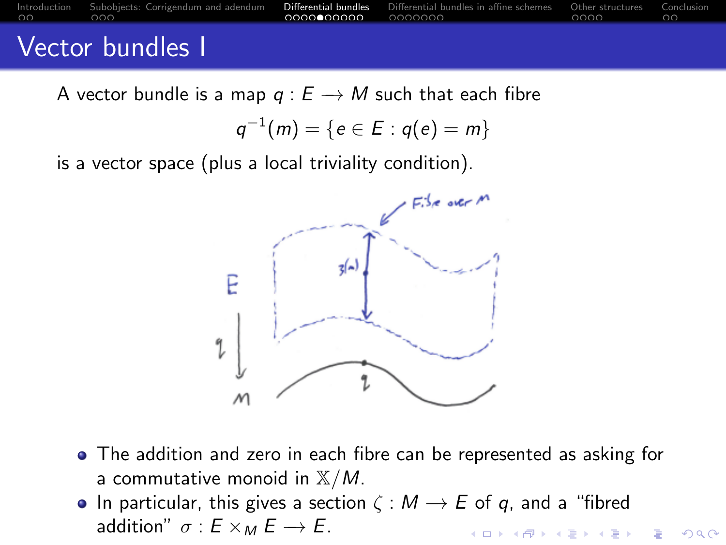<span id="page-10-0"></span>

| nn nnn | Introduction Subobiects: Corrigendum and adendum <b>Differential bundles</b> Differential bundles in affine schemes Other structures Conclusion |  | nooo a | - ററ |
|--------|-------------------------------------------------------------------------------------------------------------------------------------------------|--|--------|------|
|        | Voctor bundles L                                                                                                                                |  |        |      |

## Vector bundles I

A vector bundle is a map  $q : E \rightarrow M$  such that each fibre

$$
q^{-1}(m) = \{e \in E : q(e) = m\}
$$

is a vector space (plus a local triviality condition).



- The addition and zero in each fibre can be represented as asking for a commutative monoid in  $X/M$ .
- In particular, this gives a section  $\zeta : M \to E$  of q, and a "fibred addition"  $\sigma$  :  $E \times_M E \rightarrow E$ . **KORKAR KERKER SAGA**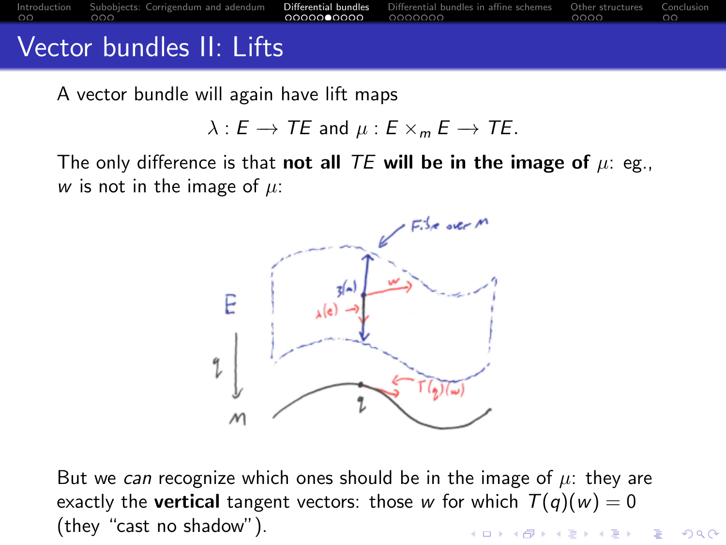<span id="page-11-0"></span>

A vector bundle will again have lift maps

$$
\lambda: E \to TE \text{ and } \mu: E \times_m E \to TE.
$$

The only difference is that not all TE will be in the image of  $\mu$ : eg., w is not in the image of  $\mu$ :



But we can recognize which ones should be in the image of  $\mu$ : they are exactly the **vertical** tangent vectors: those w for which  $T(q)(w) = 0$ (they "cast no shadow").イロト イ押ト イヨト イヨト B

 $QQ$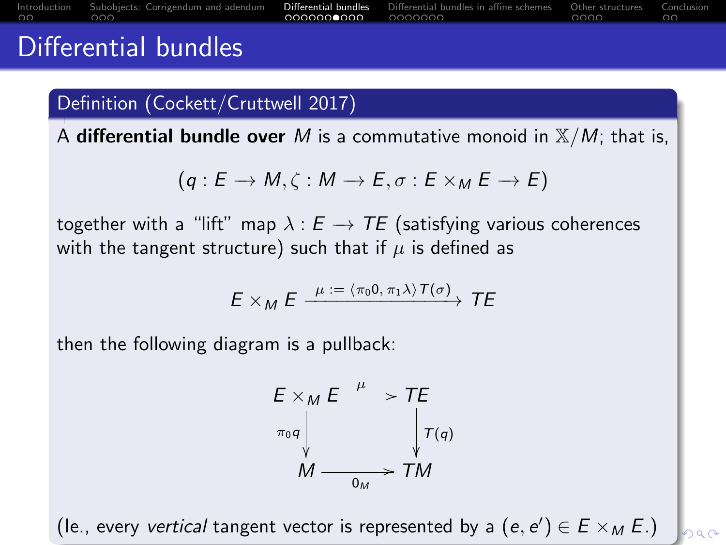<span id="page-12-0"></span>

| $\sim$ $\sim$ |                                                                                                                                                 |                                               |  |
|---------------|-------------------------------------------------------------------------------------------------------------------------------------------------|-----------------------------------------------|--|
| nn nnn        | Introduction Subobiects: Corrigendum and adendum <b>Differential bundles</b> Differential bundles in affine schemes Other structures Conclusion | <b>© 0000000000 0000000 0000 0000 0000</b> 00 |  |

### Differential bundles

#### Definition (Cockett/Cruttwell 2017)

A differential bundle over M is a commutative monoid in  $X/M$ ; that is,

$$
(q: E \to M, \zeta: M \to E, \sigma: E \times_M E \to E)
$$

together with a "lift" map  $\lambda : E \rightarrow TE$  (satisfying various coherences with the tangent structure) such that if  $\mu$  is defined as

$$
E \times_{M} E \xrightarrow{\mu := \langle \pi_{0}0, \pi_{1}\lambda \rangle T(\sigma)} TE
$$

then the following diagram is a pullback:

$$
E \times_{M} E \xrightarrow{\mu} TE
$$
  
\n
$$
\pi_{0}q \downarrow \qquad \qquad \downarrow T(q)
$$
  
\n
$$
M \xrightarrow{\qquad \qquad \downarrow} T(q)
$$

(le., every vertical tangent vector is represented [by](#page-11-0) a  $(e, e') \in E \times_M E$  $(e, e') \in E \times_M E$  $(e, e') \in E \times_M E$  $(e, e') \in E \times_M E$  $(e, e') \in E \times_M E$  $(e, e') \in E \times_M E$  $(e, e') \in E \times_M E$  $(e, e') \in E \times_M E$  $(e, e') \in E \times_M E$  $(e, e') \in E \times_M E$ [.\)](#page-0-0)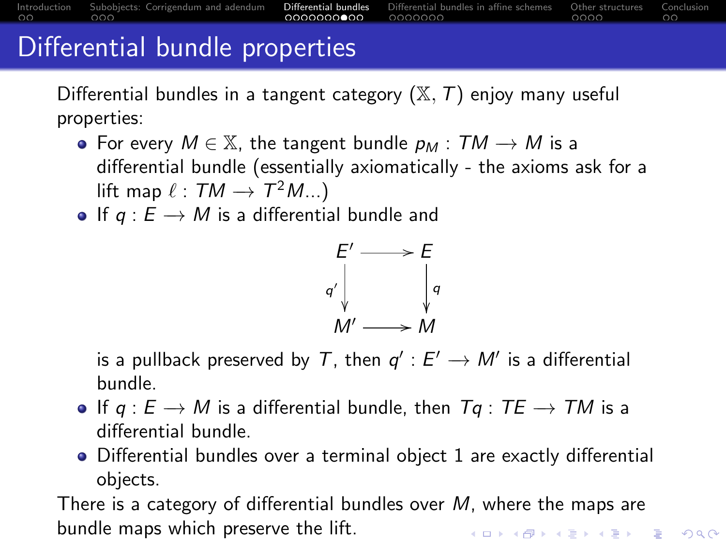[Introduction](#page-1-0) [Subobjects: Corrigendum and adendum](#page-3-0) **[Differential bundles](#page-6-0)** [Differential bundles in affine schemes](#page-16-0) [Other structures](#page-23-0) [Conclusion](#page-27-0)<br>OCOOCOO COOOCOO COOOCOO COOOCOO COOOCOO COOOCOO

## <span id="page-13-0"></span>Differential bundle properties

Differential bundles in a tangent category  $(\mathbb{X}, \mathcal{T})$  enjoy many useful properties:

- For every  $M \in \mathbb{X}$ , the tangent bundle  $p_M : TM \rightarrow M$  is a differential bundle (essentially axiomatically - the axioms ask for a lift map  $\ell:TM\to \mathcal{T}^2M...)$
- If  $q : E \to M$  is a differential bundle and



is a pullback preserved by T, then  $q': E' \to M'$  is a differential bundle.

- If  $q : E \to M$  is a differential bundle, then  $Tq : TE \to TM$  is a differential bundle.
- Differential bundles over a terminal object 1 are exactly differential objects.

There is a category of differential bundles over  $M$ , where the maps are bundle maps which preserve the lift.**KORKARYKERKER POLO**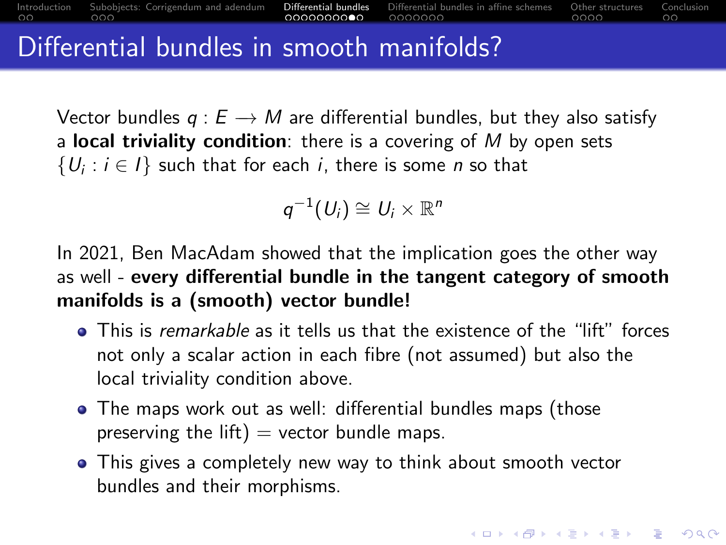<span id="page-14-0"></span>Vector bundles  $q : E \rightarrow M$  are differential bundles, but they also satisfy a local triviality condition: there is a covering of  $M$  by open sets  $\{U_i : i \in I\}$  such that for each i, there is some n so that

$$
q^{-1}(U_i) \cong U_i \times \mathbb{R}^n
$$

In 2021, Ben MacAdam showed that the implication goes the other way as well - every differential bundle in the tangent category of smooth manifolds is a (smooth) vector bundle!

- This is remarkable as it tells us that the existence of the "lift" forces not only a scalar action in each fibre (not assumed) but also the local triviality condition above.
- The maps work out as well: differential bundles maps (those preserving the lift)  $=$  vector bundle maps.
- This gives a completely new way to think about smooth vector bundles and their morphisms.

**KORKARYKERKER POLO**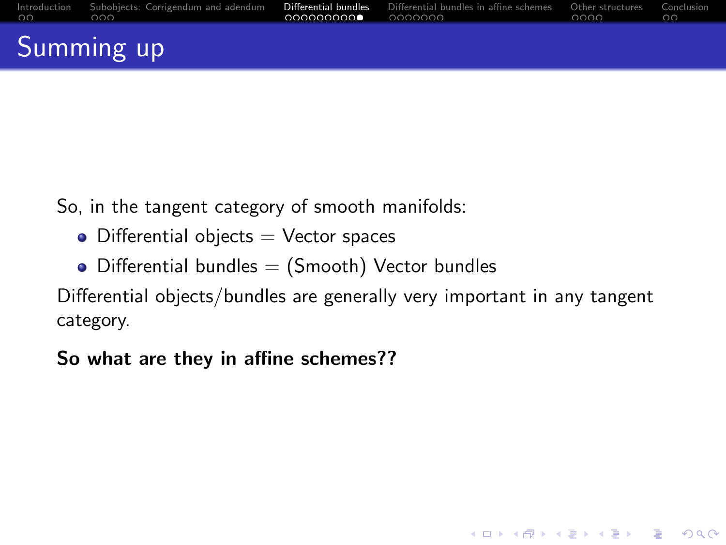<span id="page-15-0"></span>

|          | Summing up                                                                                                                                      |  |          |  |
|----------|-------------------------------------------------------------------------------------------------------------------------------------------------|--|----------|--|
| $00$ 000 | Introduction Subobiects: Corrigendum and adendum <b>Differential bundles</b> Differential bundles in affine schemes Other structures Conclusion |  | $\Omega$ |  |

So, in the tangent category of smooth manifolds:

- $\bullet$  Differential objects  $=$  Vector spaces
- Differential bundles  $=$  (Smooth) Vector bundles

Differential objects/bundles are generally very important in any tangent category.

**KORK ERKER ADAM ADA** 

So what are they in affine schemes??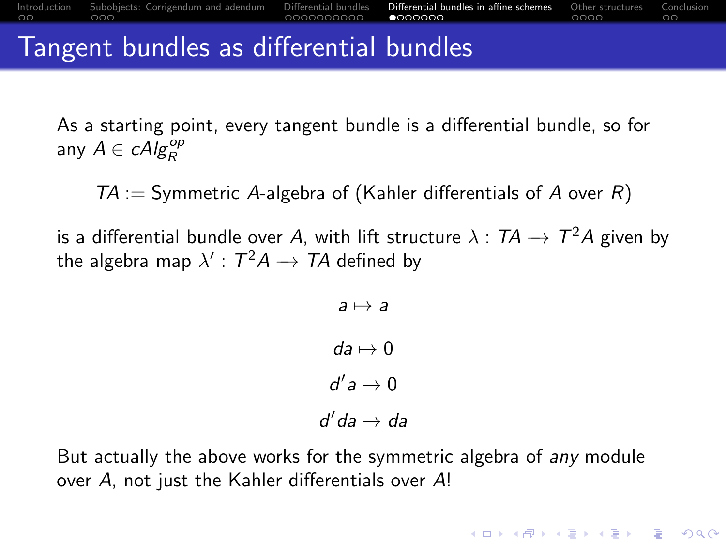<span id="page-16-0"></span>

| Tangent bundles as differential bundles |  |  |
|-----------------------------------------|--|--|
|                                         |  |  |

As a starting point, every tangent bundle is a differential bundle, so for any  $A \in \mathcal{c}Alg_R^{op}$ 

 $TA :=$  Symmetric A-algebra of (Kahler differentials of A over R)

is a differential bundle over A, with lift structure  $\lambda: \mathcal{T} A \rightarrow \mathcal{T}^2 A$  given by the algebra map  $\lambda'$  :  $\mathcal{T}^2\mathcal{A}\to \mathcal{T}\mathcal{A}$  defined by

```
a \mapsto ada \mapsto 0d^{\prime} a \mapsto 0d'da \mapsto da
```
But actually the above works for the symmetric algebra of any module over A, not just the Kahler differentials over A!

**KORKARYKERKER POLO**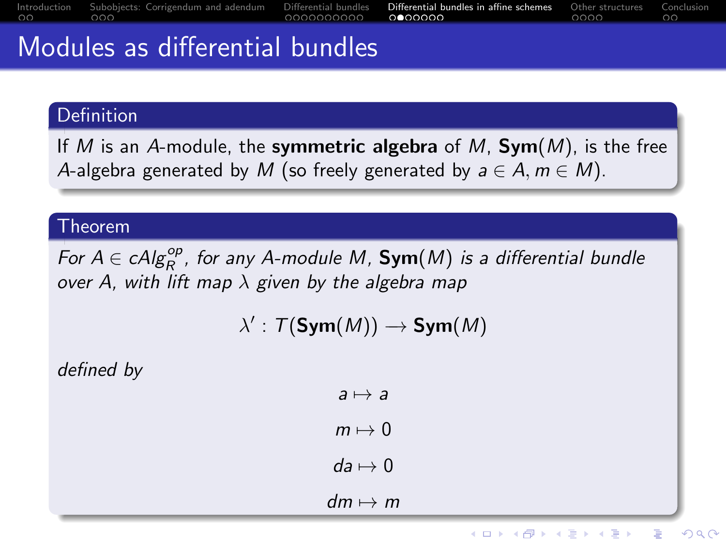<span id="page-17-0"></span>

|        | $\mathbf{A}$ and $\mathbf{A}$ and $\mathbf{A}$ are the set of $\mathbf{A}$ and $\mathbf{A}$ are the set of $\mathbf{A}$ and $\mathbf{A}$ are the set of $\mathbf{A}$ |                                                                                                                                                                                                                                     |     |
|--------|----------------------------------------------------------------------------------------------------------------------------------------------------------------------|-------------------------------------------------------------------------------------------------------------------------------------------------------------------------------------------------------------------------------------|-----|
| nn nnn | and the contract of the contract of the contract of                                                                                                                  | Introduction Subobiects: Corrigendum and adendum Differential bundles <b>Differential bundles in affine schemes</b> Other structures Conclusion<br>$\overline{0000000000}$ $\overline{0000000}$ $\overline{0000}$ $\overline{0000}$ | nn. |

### Modules as differential bundles

#### Definition

If M is an A-module, the symmetric algebra of M,  $Sym(M)$ , is the free A-algebra generated by M (so freely generated by  $a \in A$ ,  $m \in M$ ).

#### Theorem

For  $A \in \mathit{cAlg}^{\mathit{op}}_R$ , for any A-module M,  $\mathsf{Sym}(M)$  is a differential bundle over A, with lift map  $\lambda$  given by the algebra map

$$
\lambda':\, \mathcal{T}(\mathsf{Sym}(M)) \longrightarrow \mathsf{Sym}(M)
$$

defined by

$$
a \mapsto a
$$

$$
m \mapsto 0
$$

$$
da \mapsto 0
$$

$$
dm \mapsto m
$$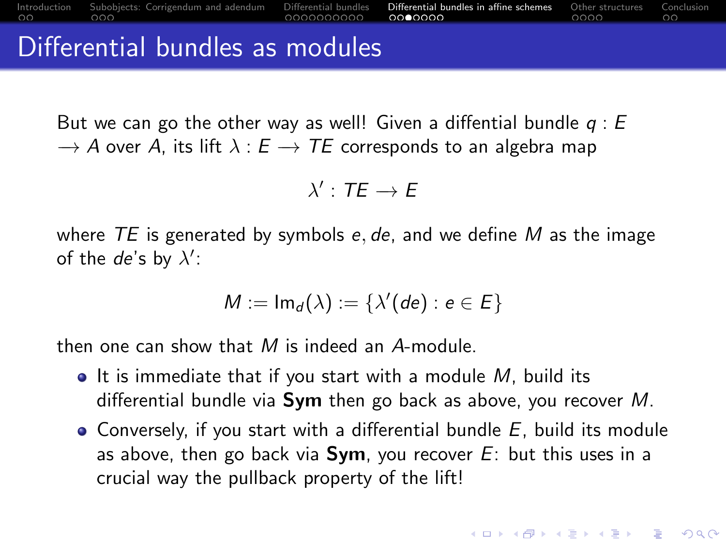<span id="page-18-0"></span>But we can go the other way as well! Given a diffential bundle  $q: E$  $\rightarrow$  A over A, its lift  $\lambda : E \rightarrow TE$  corresponds to an algebra map

 $\lambda'$  : TE  $\rightarrow$  E

where  $TE$  is generated by symbols e, de, and we define M as the image of the de's by  $\lambda'$ :

$$
M:=\mathsf{Im}_d(\lambda):=\{\lambda'(de):e\in E\}
$$

then one can show that  $M$  is indeed an A-module.

- $\bullet$  It is immediate that if you start with a module M, build its differential bundle via  $Sym$  then go back as above, you recover M.
- Conversely, if you start with a differential bundle  $E$ , build its module as above, then go back via  $Sym$ , you recover  $E$ : but this uses in a crucial way the pullback property of the lift!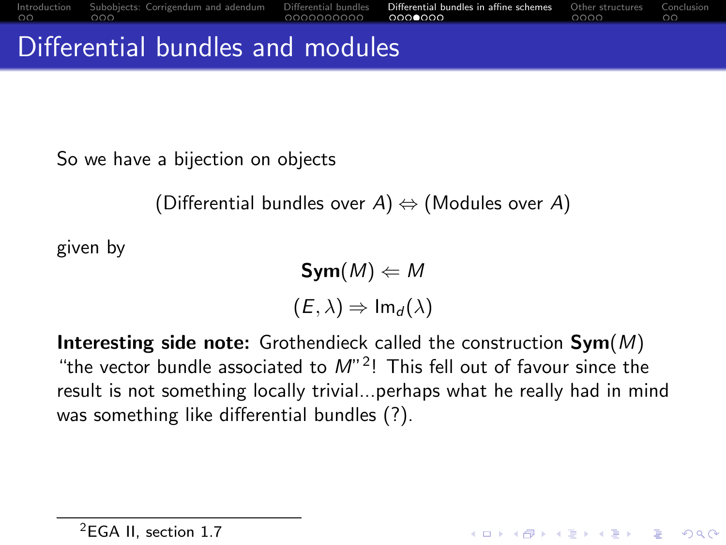### <span id="page-19-0"></span>Differential bundles and modules

So we have a bijection on objects

(Differential bundles over  $A$ )  $\Leftrightarrow$  (Modules over A)

given by

 $Sym(M) \leftarrow M$  $(E, \lambda) \Rightarrow Im_d(\lambda)$ 

**Interesting side note:** Grothendieck called the construction  $Sym(M)$ "the vector bundle associated to  $M^2$ ! This fell out of favour since the result is not something locally trivial...perhaps what he really had in mind was something like differential bundles (?).

**KORKAR KERKER ST VOOR**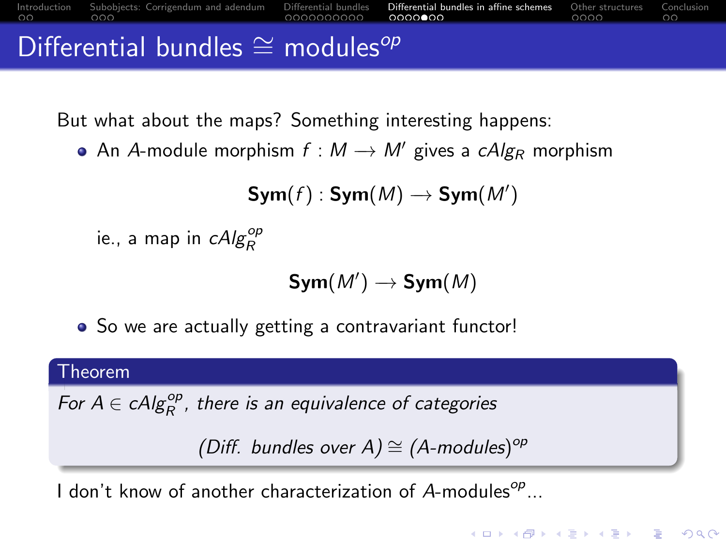<span id="page-20-0"></span>

But what about the maps? Something interesting happens:

• An A-module morphism  $f : M \rightarrow M'$  gives a cAlg<sub>R</sub> morphism

$$
\text{Sym}(f): \text{Sym}(M) \longrightarrow \text{Sym}(M')
$$

ie., a map in  $\mathit{cAlg}^{\mathit{op}}_R$ 

$$
\text{Sym}(M')\to \text{Sym}(M)
$$

• So we are actually getting a contravariant functor!

#### Theorem

For  $A \in \mathit{cAlg}_R^{\mathit{op}}$ , there is an equivalence of categories

```
(Diff. bundles over A) \cong (A-modules)<sup>op</sup>
```
**KORKARYKERKER POLO** 

I don't know of another characterization of  $A$ -modules $^{op}$ ...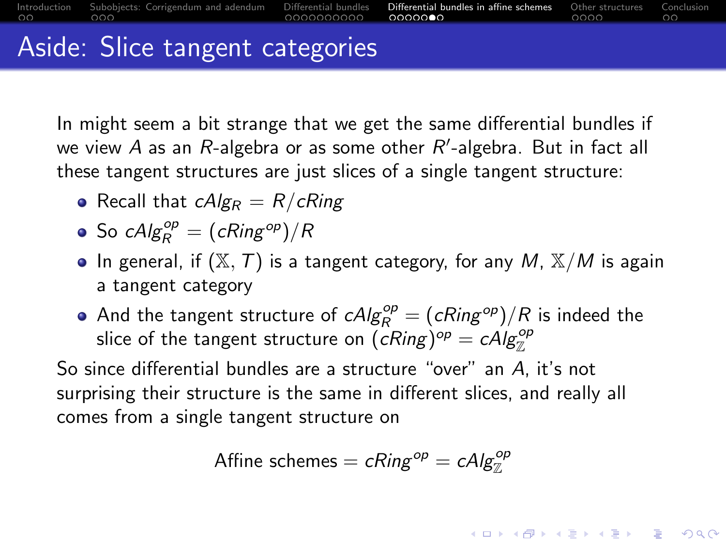<span id="page-21-0"></span>[Introduction](#page-1-0) [Subobjects: Corrigendum and adendum](#page-3-0) Differential **[Differential bundles](#page-6-0) in affine schemes** [Other structures](#page-23-0) [Conclusion](#page-27-0)<br>Other structures Conclusion structures Conclusion of **conclusion conclusion conclusion** con

### Aside: Slice tangent categories

In might seem a bit strange that we get the same differential bundles if we view  $A$  as an  $R$ -algebra or as some other  $R^{\prime}$ -algebra. But in fact all these tangent structures are just slices of a single tangent structure:

- Recall that  $cAlg_R = R/cRing$
- So  $cAlg_R^{op} = (cRing^{op})/R$
- In general, if  $(X, T)$  is a tangent category, for any M,  $X/M$  is again a tangent category
- And the tangent structure of  $cAlg_R^{op} = (cRing^{op})/R$  is indeed the slice of the tangent structure on  $(\overline{c}Ring)^{op} = cAlg_{\mathbb{Z}}^{op}$

So since differential bundles are a structure "over" an A, it's not surprising their structure is the same in different slices, and really all comes from a single tangent structure on

Affine schemes = 
$$
cRing^{op} = cAlg_{\mathbb{Z}}^{op}
$$

**KORKARYKERKER POLO**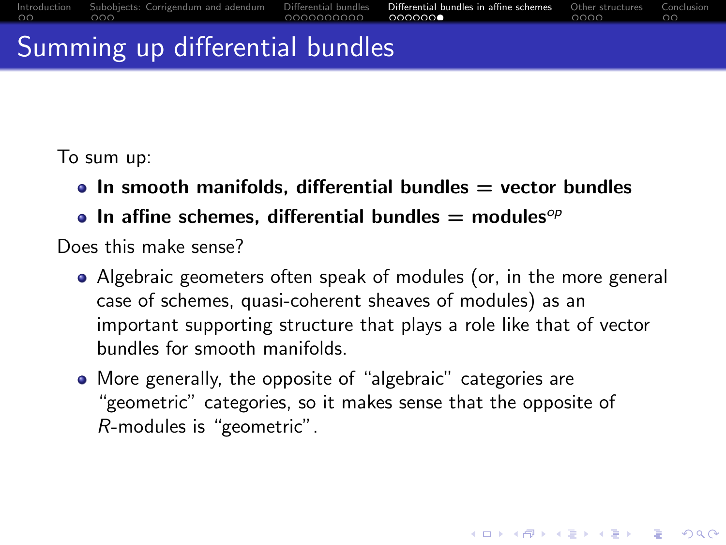## <span id="page-22-0"></span>Summing up differential bundles

To sum up:

- $\bullet$  In smooth manifolds, differential bundles  $=$  vector bundles
- In affine schemes, differential bundles  $=$  modules<sup>op</sup>

Does this make sense?

Algebraic geometers often speak of modules (or, in the more general case of schemes, quasi-coherent sheaves of modules) as an important supporting structure that plays a role like that of vector bundles for smooth manifolds.

**KORKARYKERKER POLO** 

More generally, the opposite of "algebraic" categories are "geometric" categories, so it makes sense that the opposite of R-modules is "geometric".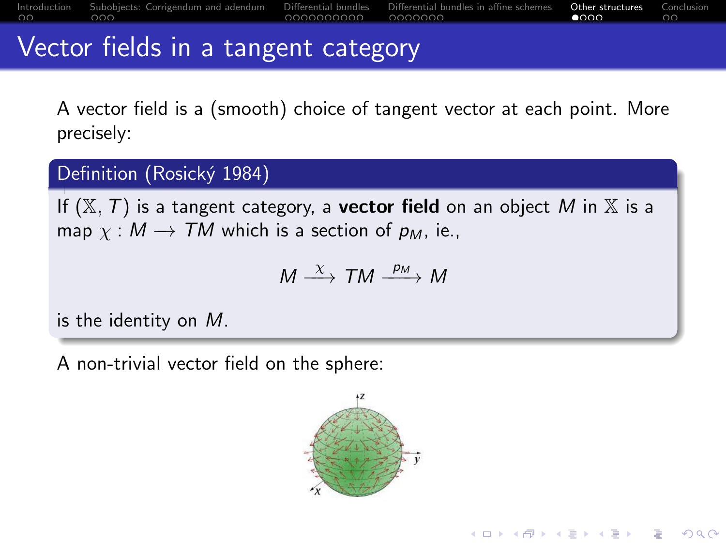<span id="page-23-0"></span>[Introduction](#page-1-0) [Subobjects: Corrigendum and adendum](#page-3-0) [Differential bundles](#page-6-0) [Differential bundles in affine schemes](#page-16-0) [Other structures](#page-23-0) [Conclusion](#page-27-0)

### Vector fields in a tangent category

A vector field is a (smooth) choice of tangent vector at each point. More precisely:

#### Definition (Rosický 1984)

If  $(X, T)$  is a tangent category, a **vector field** on an object M in X is a map  $\chi : M \to TM$  which is a section of  $p_M$ , ie.,

$$
M \stackrel{\chi}{\longrightarrow} TM \stackrel{p_M}{\longrightarrow} M
$$

is the identity on M.

A non-trivial vector field on the sphere:



**KORK EXTERNE PROVIDE**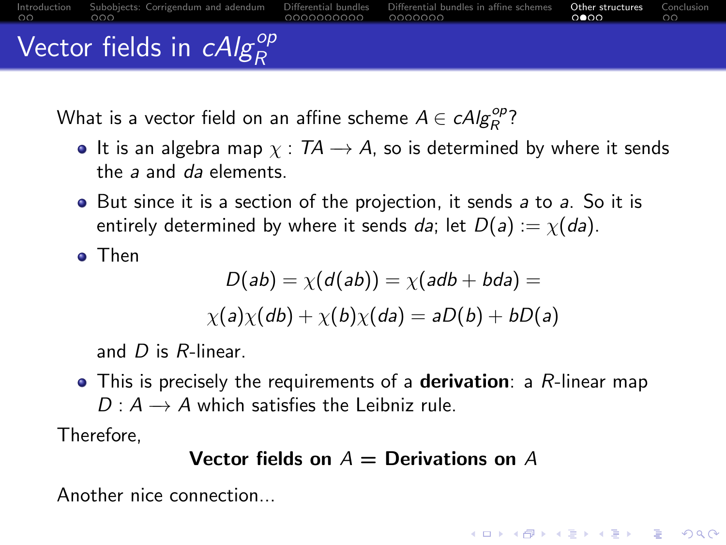<span id="page-24-0"></span>[Introduction](#page-1-0) [Subobjects: Corrigendum and adendum](#page-3-0) Differential [Differential bundles](#page-6-0) in affine schemes [Other structures](#page-23-0) [Conclusion](#page-27-0)<br>Ochemes Other structures Conclusion structures Conclusion Conclusion of Conclusion Conclusion Vector fields in  $\mathit{cAlg}_R^{\mathit{op}}$ 

What is a vector field on an affine scheme  $A \in \mathit{cAlg}_R^{\mathit{op}}$ ?

- It is an algebra map  $\chi : T\mathcal{A} \to \mathcal{A}$ , so is determined by where it sends the a and da elements.
- But since it is a section of the projection, it sends a to a. So it is entirely determined by where it sends da; let  $D(a) := \chi(da)$ .

Then

$$
D(ab) = \chi(d(ab)) = \chi(ab + bda) =
$$
  
 
$$
\chi(a)\chi(db) + \chi(b)\chi(da) = aD(b) + bD(a)
$$

and  $D$  is  $R$ -linear.

 $\bullet$  This is precisely the requirements of a **derivation**: a R-linear map  $D: A \rightarrow A$  which satisfies the Leibniz rule.

Therefore,

#### Vector fields on  $A =$  Derivations on A

**KORKARYKERKER POLO** 

Another nice connection...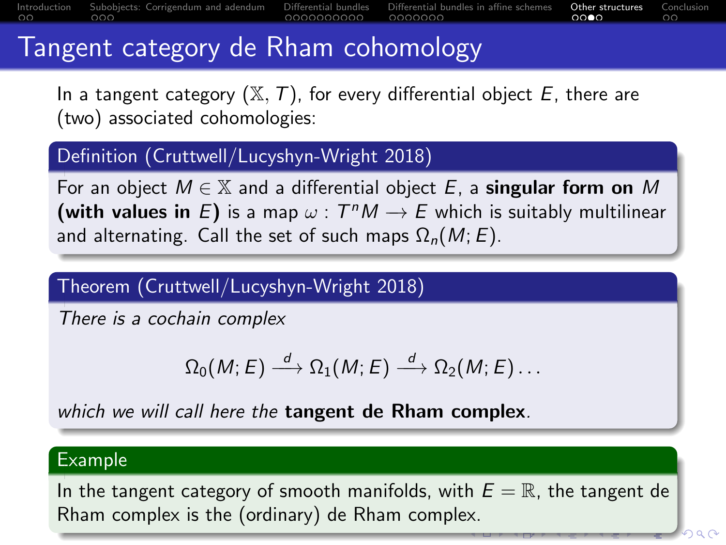<span id="page-25-0"></span>[Introduction](#page-1-0) [Subobjects: Corrigendum and adendum](#page-3-0) [Differential bundles](#page-6-0) [Differential bundles in affine schemes](#page-16-0) [Other structures](#page-23-0) [Conclusion](#page-27-0)

## Tangent category de Rham cohomology

In a tangent category  $(X, T)$ , for every differential object E, there are (two) associated cohomologies:

#### Definition (Cruttwell/Lucyshyn-Wright 2018)

For an object  $M \in \mathbb{X}$  and a differential object E, a **singular form on** M (with values in E) is a map  $\omega$  :  $T^{n}M \rightarrow E$  which is suitably multilinear and alternating. Call the set of such maps  $\Omega_n(M; E)$ .

### Theorem (Cruttwell/Lucyshyn-Wright 2018)

There is a cochain complex

$$
\Omega_0(M;E)\stackrel{d}{\longrightarrow} \Omega_1(M;E)\stackrel{d}{\longrightarrow} \Omega_2(M;E)\ldots
$$

which we will call here the tangent de Rham complex.

#### Example

In the tangent category of smooth manifolds, with  $E = \mathbb{R}$ , the tangent de Rham complex is the (ordinary) de Rham compl[ex.](#page-24-0)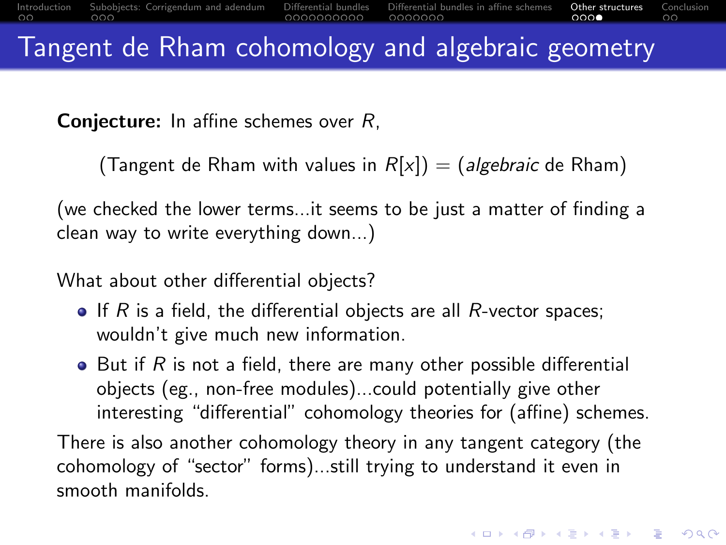<span id="page-26-0"></span>**Conjecture:** In affine schemes over R,

(Tangent de Rham with values in  $R[x]$ ) = (algebraic de Rham)

(we checked the lower terms...it seems to be just a matter of finding a clean way to write everything down...)

What about other differential objects?

- $\bullet$  If R is a field, the differential objects are all R-vector spaces; wouldn't give much new information.
- $\bullet$  But if R is not a field, there are many other possible differential objects (eg., non-free modules)...could potentially give other interesting "differential" cohomology theories for (affine) schemes.

There is also another cohomology theory in any tangent category (the cohomology of "sector" forms)...still trying to understand it even in smooth manifolds.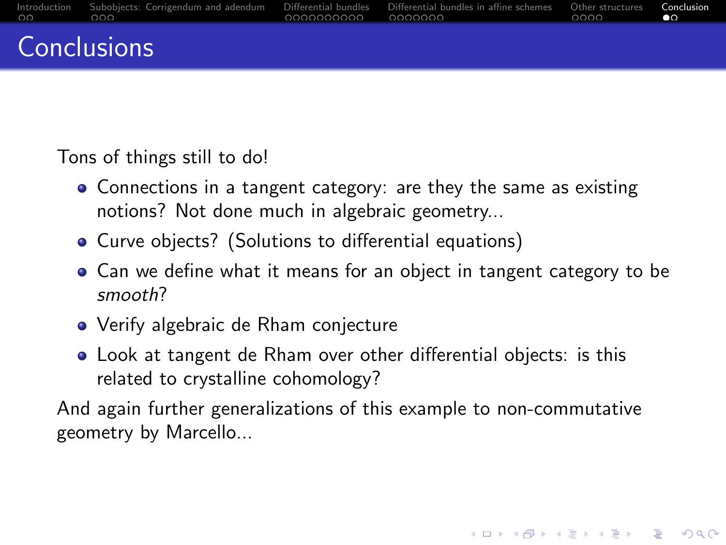<span id="page-27-0"></span>

| nn nnn | Introduction Subobiects: Corrigendum and adendum Differential bundles Differential bundles in affine schemes Other structures |  | Conclusion |
|--------|-------------------------------------------------------------------------------------------------------------------------------|--|------------|
|        | Conclusions                                                                                                                   |  |            |

Tons of things still to do!

- Connections in a tangent category: are they the same as existing notions? Not done much in algebraic geometry...
- Curve objects? (Solutions to differential equations)
- Can we define what it means for an object in tangent category to be smooth?
- Verify algebraic de Rham conjecture
- Look at tangent de Rham over other differential objects: is this related to crystalline cohomology?

And again further generalizations of this example to non-commutative geometry by Marcello...

**KORKARYKERKER POLO**